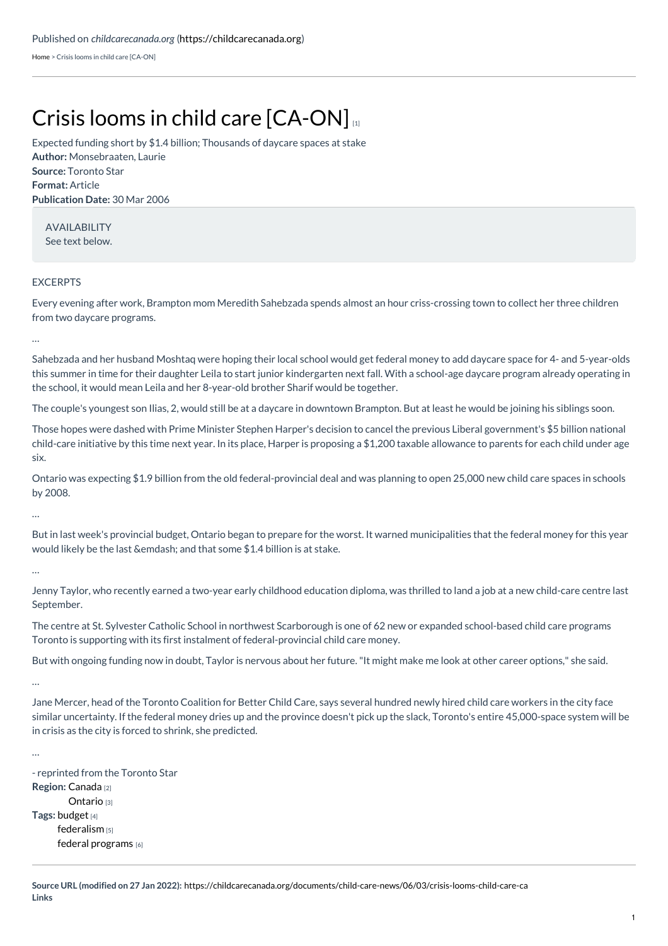[Home](https://childcarecanada.org/) > Crisis looms in child care [CA-ON]

## Crisis looms in child care [\[CA-ON\]](https://childcarecanada.org/documents/child-care-news/06/03/crisis-looms-child-care-ca)

**Author:** Monsebraaten, Laurie **Source:** Toronto Star **Format:** Article **Publication Date:** 30 Mar 2006 Expected funding short by \$1.4 billion; Thousands of daycare spaces at stake

AVAILABILITY See text below.

## EXCERPTS

Every evening after work, Brampton mom Meredith Sahebzada spends almost an hour criss-crossing town to collect her three children from two daycare programs.

…

Sahebzada and her husband Moshtaq were hoping their local school would get federal money to add daycare space for 4- and 5-year-olds this summer in time for their daughter Leila to start junior kindergarten next fall. With a school-age daycare program already operating in the school, it would mean Leila and her 8-year-old brother Sharif would be together.

The couple's youngest son Ilias, 2, would still be at a daycare in downtown Brampton. But at least he would be joining his siblings soon.

Those hopes were dashed with Prime Minister Stephen Harper's decision to cancel the previous Liberal government's \$5 billion national child-care initiative by this time next year. In its place, Harper is proposing a \$1,200 taxable allowance to parents for each child under age six.

Ontario was expecting \$1.9 billion from the old federal-provincial deal and was planning to open 25,000 new child care spaces in schools by 2008.

…

But in last week's provincial budget, Ontario began to prepare for the worst. It warned municipalities that the federal money for this year would likely be the last &emdash; and that some \$1.4 billion is at stake.

…

Jenny Taylor, who recently earned a two-year early childhood education diploma, was thrilled to land a job at a new child-care centre last September.

The centre at St. Sylvester Catholic School in northwest Scarborough is one of 62 new or expanded school-based child care programs Toronto is supporting with its first instalment of federal-provincial child care money.

But with ongoing funding now in doubt, Taylor is nervous about her future."It might make me look at other career options," she said.

…

…

Jane Mercer, head of the Toronto Coalition for Better Child Care, says several hundred newly hired child care workers in the city face similar uncertainty. If the federal money dries up and the province doesn't pick up the slack, Toronto's entire 45,000-space system will be in crisis as the city is forced to shrink, she predicted.

**Region:** [Canada](https://childcarecanada.org/taxonomy/term/7864) [2] **[Ontario](https://childcarecanada.org/taxonomy/term/7856) [3] Tags:** [budget](https://childcarecanada.org/category/tags/budget) [4] [federalism](https://childcarecanada.org/category/tags/federalism) [5] federal [programs](https://childcarecanada.org/category/tags/federal-programs) [6] - reprinted from the Toronto Star